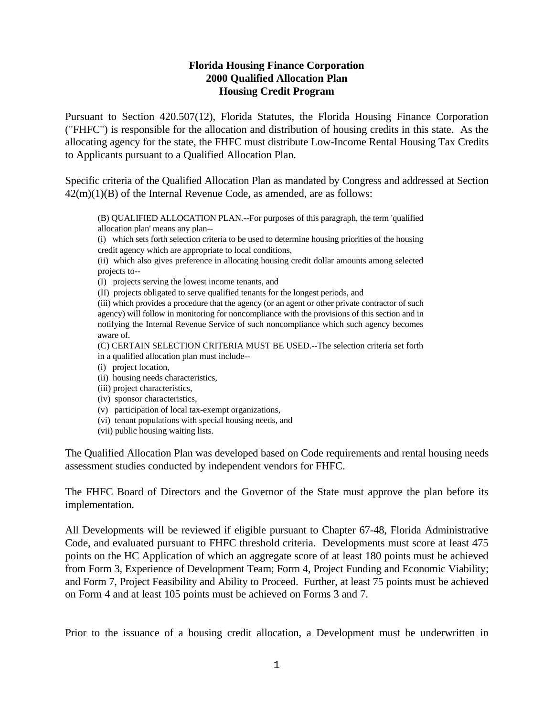## **Florida Housing Finance Corporation 2000 Qualified Allocation Plan Housing Credit Program**

Pursuant to Section 420.507(12), Florida Statutes, the Florida Housing Finance Corporation ("FHFC") is responsible for the allocation and distribution of housing credits in this state. As the allocating agency for the state, the FHFC must distribute Low-Income Rental Housing Tax Credits to Applicants pursuant to a Qualified Allocation Plan.

Specific criteria of the Qualified Allocation Plan as mandated by Congress and addressed at Section  $42(m)(1)(B)$  of the Internal Revenue Code, as amended, are as follows:

(B) QUALIFIED ALLOCATION PLAN.--For purposes of this paragraph, the term 'qualified allocation plan' means any plan--

(i) which sets forth selection criteria to be used to determine housing priorities of the housing credit agency which are appropriate to local conditions,

(ii) which also gives preference in allocating housing credit dollar amounts among selected projects to--

(I) projects serving the lowest income tenants, and

(II) projects obligated to serve qualified tenants for the longest periods, and

(iii) which provides a procedure that the agency (or an agent or other private contractor of such agency) will follow in monitoring for noncompliance with the provisions of this section and in notifying the Internal Revenue Service of such noncompliance which such agency becomes aware of.

(C) CERTAIN SELECTION CRITERIA MUST BE USED.--The selection criteria set forth in a qualified allocation plan must include--

- (i) project location,
- (ii) housing needs characteristics,
- (iii) project characteristics,
- (iv) sponsor characteristics,
- (v) participation of local tax-exempt organizations,
- (vi) tenant populations with special housing needs, and
- (vii) public housing waiting lists.

The Qualified Allocation Plan was developed based on Code requirements and rental housing needs assessment studies conducted by independent vendors for FHFC.

The FHFC Board of Directors and the Governor of the State must approve the plan before its implementation.

All Developments will be reviewed if eligible pursuant to Chapter 67-48, Florida Administrative Code, and evaluated pursuant to FHFC threshold criteria. Developments must score at least 475 points on the HC Application of which an aggregate score of at least 180 points must be achieved from Form 3, Experience of Development Team; Form 4, Project Funding and Economic Viability; and Form 7, Project Feasibility and Ability to Proceed. Further, at least 75 points must be achieved on Form 4 and at least 105 points must be achieved on Forms 3 and 7.

Prior to the issuance of a housing credit allocation, a Development must be underwritten in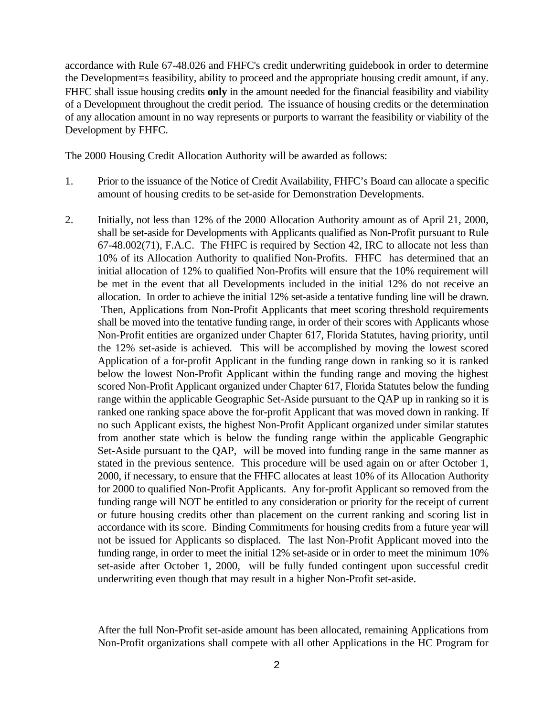accordance with Rule 67-48.026 and FHFC's credit underwriting guidebook in order to determine the Development=s feasibility, ability to proceed and the appropriate housing credit amount, if any. FHFC shall issue housing credits **only** in the amount needed for the financial feasibility and viability of a Development throughout the credit period. The issuance of housing credits or the determination of any allocation amount in no way represents or purports to warrant the feasibility or viability of the Development by FHFC.

The 2000 Housing Credit Allocation Authority will be awarded as follows:

- 1. Prior to the issuance of the Notice of Credit Availability, FHFC's Board can allocate a specific amount of housing credits to be set-aside for Demonstration Developments.
- 2. Initially, not less than 12% of the 2000 Allocation Authority amount as of April 21, 2000, shall be set-aside for Developments with Applicants qualified as Non-Profit pursuant to Rule 67-48.002(71), F.A.C. The FHFC is required by Section 42, IRC to allocate not less than 10% of its Allocation Authority to qualified Non-Profits. FHFC has determined that an initial allocation of 12% to qualified Non-Profits will ensure that the 10% requirement will be met in the event that all Developments included in the initial 12% do not receive an allocation. In order to achieve the initial 12% set-aside a tentative funding line will be drawn. Then, Applications from Non-Profit Applicants that meet scoring threshold requirements shall be moved into the tentative funding range, in order of their scores with Applicants whose Non-Profit entities are organized under Chapter 617, Florida Statutes, having priority, until the 12% set-aside is achieved. This will be accomplished by moving the lowest scored Application of a for-profit Applicant in the funding range down in ranking so it is ranked below the lowest Non-Profit Applicant within the funding range and moving the highest scored Non-Profit Applicant organized under Chapter 617, Florida Statutes below the funding range within the applicable Geographic Set-Aside pursuant to the QAP up in ranking so it is ranked one ranking space above the for-profit Applicant that was moved down in ranking. If no such Applicant exists, the highest Non-Profit Applicant organized under similar statutes from another state which is below the funding range within the applicable Geographic Set-Aside pursuant to the QAP, will be moved into funding range in the same manner as stated in the previous sentence. This procedure will be used again on or after October 1, 2000, if necessary, to ensure that the FHFC allocates at least 10% of its Allocation Authority for 2000 to qualified Non-Profit Applicants. Any for-profit Applicant so removed from the funding range will NOT be entitled to any consideration or priority for the receipt of current or future housing credits other than placement on the current ranking and scoring list in accordance with its score. Binding Commitments for housing credits from a future year will not be issued for Applicants so displaced. The last Non-Profit Applicant moved into the funding range, in order to meet the initial 12% set-aside or in order to meet the minimum 10% set-aside after October 1, 2000, will be fully funded contingent upon successful credit underwriting even though that may result in a higher Non-Profit set-aside.

After the full Non-Profit set-aside amount has been allocated, remaining Applications from Non-Profit organizations shall compete with all other Applications in the HC Program for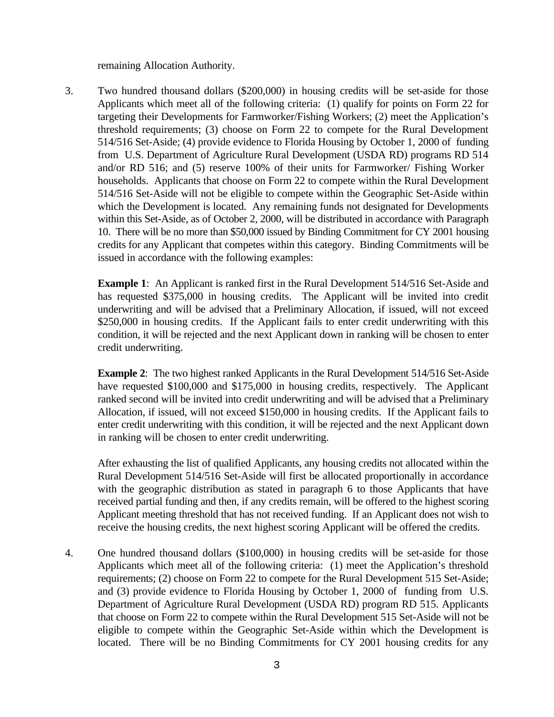remaining Allocation Authority.

3. Two hundred thousand dollars (\$200,000) in housing credits will be set-aside for those Applicants which meet all of the following criteria: (1) qualify for points on Form 22 for targeting their Developments for Farmworker/Fishing Workers; (2) meet the Application's threshold requirements; (3) choose on Form 22 to compete for the Rural Development 514/516 Set-Aside; (4) provide evidence to Florida Housing by October 1, 2000 of funding from U.S. Department of Agriculture Rural Development (USDA RD) programs RD 514 and/or RD 516; and (5) reserve 100% of their units for Farmworker/ Fishing Worker households. Applicants that choose on Form 22 to compete within the Rural Development 514/516 Set-Aside will not be eligible to compete within the Geographic Set-Aside within which the Development is located. Any remaining funds not designated for Developments within this Set-Aside, as of October 2, 2000, will be distributed in accordance with Paragraph 10. There will be no more than \$50,000 issued by Binding Commitment for CY 2001 housing credits for any Applicant that competes within this category. Binding Commitments will be issued in accordance with the following examples:

**Example 1:** An Applicant is ranked first in the Rural Development 514/516 Set-Aside and has requested \$375,000 in housing credits. The Applicant will be invited into credit underwriting and will be advised that a Preliminary Allocation, if issued, will not exceed \$250,000 in housing credits. If the Applicant fails to enter credit underwriting with this condition, it will be rejected and the next Applicant down in ranking will be chosen to enter credit underwriting.

**Example 2**: The two highest ranked Applicants in the Rural Development 514/516 Set-Aside have requested \$100,000 and \$175,000 in housing credits, respectively. The Applicant ranked second will be invited into credit underwriting and will be advised that a Preliminary Allocation, if issued, will not exceed \$150,000 in housing credits. If the Applicant fails to enter credit underwriting with this condition, it will be rejected and the next Applicant down in ranking will be chosen to enter credit underwriting.

After exhausting the list of qualified Applicants, any housing credits not allocated within the Rural Development 514/516 Set-Aside will first be allocated proportionally in accordance with the geographic distribution as stated in paragraph 6 to those Applicants that have received partial funding and then, if any credits remain, will be offered to the highest scoring Applicant meeting threshold that has not received funding. If an Applicant does not wish to receive the housing credits, the next highest scoring Applicant will be offered the credits.

4. One hundred thousand dollars (\$100,000) in housing credits will be set-aside for those Applicants which meet all of the following criteria: (1) meet the Application's threshold requirements; (2) choose on Form 22 to compete for the Rural Development 515 Set-Aside; and (3) provide evidence to Florida Housing by October 1, 2000 of funding from U.S. Department of Agriculture Rural Development (USDA RD) program RD 515. Applicants that choose on Form 22 to compete within the Rural Development 515 Set-Aside will not be eligible to compete within the Geographic Set-Aside within which the Development is located. There will be no Binding Commitments for CY 2001 housing credits for any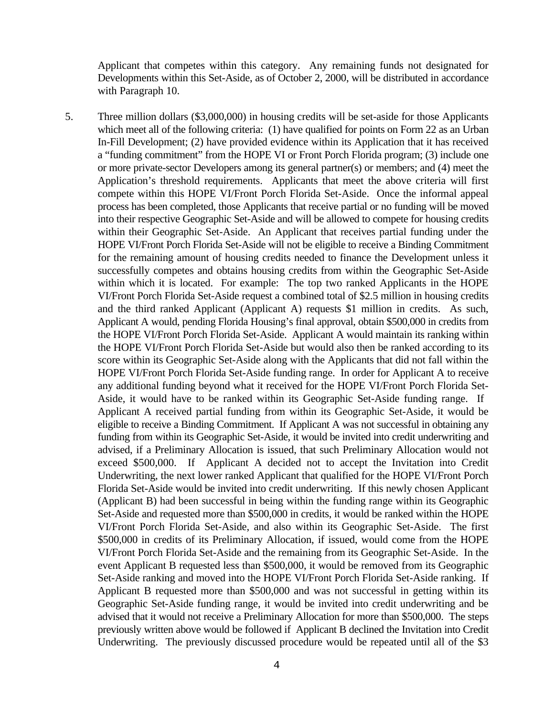Applicant that competes within this category. Any remaining funds not designated for Developments within this Set-Aside, as of October 2, 2000, will be distributed in accordance with Paragraph 10.

5. Three million dollars (\$3,000,000) in housing credits will be set-aside for those Applicants which meet all of the following criteria: (1) have qualified for points on Form 22 as an Urban In-Fill Development; (2) have provided evidence within its Application that it has received a "funding commitment" from the HOPE VI or Front Porch Florida program; (3) include one or more private-sector Developers among its general partner(s) or members; and (4) meet the Application's threshold requirements. Applicants that meet the above criteria will first compete within this HOPE VI/Front Porch Florida Set-Aside. Once the informal appeal process has been completed, those Applicants that receive partial or no funding will be moved into their respective Geographic Set-Aside and will be allowed to compete for housing credits within their Geographic Set-Aside. An Applicant that receives partial funding under the HOPE VI/Front Porch Florida Set-Aside will not be eligible to receive a Binding Commitment for the remaining amount of housing credits needed to finance the Development unless it successfully competes and obtains housing credits from within the Geographic Set-Aside within which it is located. For example: The top two ranked Applicants in the HOPE VI/Front Porch Florida Set-Aside request a combined total of \$2.5 million in housing credits and the third ranked Applicant (Applicant A) requests \$1 million in credits. As such, Applicant A would, pending Florida Housing's final approval, obtain \$500,000 in credits from the HOPE VI/Front Porch Florida Set-Aside. Applicant A would maintain its ranking within the HOPE VI/Front Porch Florida Set-Aside but would also then be ranked according to its score within its Geographic Set-Aside along with the Applicants that did not fall within the HOPE VI/Front Porch Florida Set-Aside funding range. In order for Applicant A to receive any additional funding beyond what it received for the HOPE VI/Front Porch Florida Set-Aside, it would have to be ranked within its Geographic Set-Aside funding range. If Applicant A received partial funding from within its Geographic Set-Aside, it would be eligible to receive a Binding Commitment. If Applicant A was not successful in obtaining any funding from within its Geographic Set-Aside, it would be invited into credit underwriting and advised, if a Preliminary Allocation is issued, that such Preliminary Allocation would not exceed \$500,000. If Applicant A decided not to accept the Invitation into Credit Underwriting, the next lower ranked Applicant that qualified for the HOPE VI/Front Porch Florida Set-Aside would be invited into credit underwriting. If this newly chosen Applicant (Applicant B) had been successful in being within the funding range within its Geographic Set-Aside and requested more than \$500,000 in credits, it would be ranked within the HOPE VI/Front Porch Florida Set-Aside, and also within its Geographic Set-Aside. The first \$500,000 in credits of its Preliminary Allocation, if issued, would come from the HOPE VI/Front Porch Florida Set-Aside and the remaining from its Geographic Set-Aside. In the event Applicant B requested less than \$500,000, it would be removed from its Geographic Set-Aside ranking and moved into the HOPE VI/Front Porch Florida Set-Aside ranking. If Applicant B requested more than \$500,000 and was not successful in getting within its Geographic Set-Aside funding range, it would be invited into credit underwriting and be advised that it would not receive a Preliminary Allocation for more than \$500,000. The steps previously written above would be followed if Applicant B declined the Invitation into Credit Underwriting. The previously discussed procedure would be repeated until all of the \$3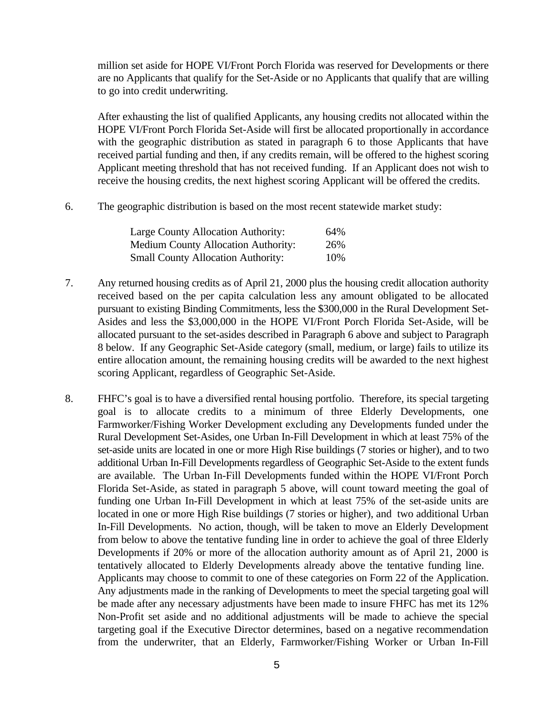million set aside for HOPE VI/Front Porch Florida was reserved for Developments or there are no Applicants that qualify for the Set-Aside or no Applicants that qualify that are willing to go into credit underwriting.

After exhausting the list of qualified Applicants, any housing credits not allocated within the HOPE VI/Front Porch Florida Set-Aside will first be allocated proportionally in accordance with the geographic distribution as stated in paragraph 6 to those Applicants that have received partial funding and then, if any credits remain, will be offered to the highest scoring Applicant meeting threshold that has not received funding. If an Applicant does not wish to receive the housing credits, the next highest scoring Applicant will be offered the credits.

6. The geographic distribution is based on the most recent statewide market study:

| Large County Allocation Authority:         | 64% |
|--------------------------------------------|-----|
| <b>Medium County Allocation Authority:</b> | 26% |
| <b>Small County Allocation Authority:</b>  | 10% |

- 7. Any returned housing credits as of April 21, 2000 plus the housing credit allocation authority received based on the per capita calculation less any amount obligated to be allocated pursuant to existing Binding Commitments, less the \$300,000 in the Rural Development Set-Asides and less the \$3,000,000 in the HOPE VI/Front Porch Florida Set-Aside, will be allocated pursuant to the set-asides described in Paragraph 6 above and subject to Paragraph 8 below. If any Geographic Set-Aside category (small, medium, or large) fails to utilize its entire allocation amount, the remaining housing credits will be awarded to the next highest scoring Applicant, regardless of Geographic Set-Aside.
- 8. FHFC's goal is to have a diversified rental housing portfolio. Therefore, its special targeting goal is to allocate credits to a minimum of three Elderly Developments, one Farmworker/Fishing Worker Development excluding any Developments funded under the Rural Development Set-Asides, one Urban In-Fill Development in which at least 75% of the set-aside units are located in one or more High Rise buildings (7 stories or higher), and to two additional Urban In-Fill Developments regardless of Geographic Set-Aside to the extent funds are available. The Urban In-Fill Developments funded within the HOPE VI/Front Porch Florida Set-Aside, as stated in paragraph 5 above, will count toward meeting the goal of funding one Urban In-Fill Development in which at least 75% of the set-aside units are located in one or more High Rise buildings (7 stories or higher), and two additional Urban In-Fill Developments. No action, though, will be taken to move an Elderly Development from below to above the tentative funding line in order to achieve the goal of three Elderly Developments if 20% or more of the allocation authority amount as of April 21, 2000 is tentatively allocated to Elderly Developments already above the tentative funding line. Applicants may choose to commit to one of these categories on Form 22 of the Application. Any adjustments made in the ranking of Developments to meet the special targeting goal will be made after any necessary adjustments have been made to insure FHFC has met its 12% Non-Profit set aside and no additional adjustments will be made to achieve the special targeting goal if the Executive Director determines, based on a negative recommendation from the underwriter, that an Elderly, Farmworker/Fishing Worker or Urban In-Fill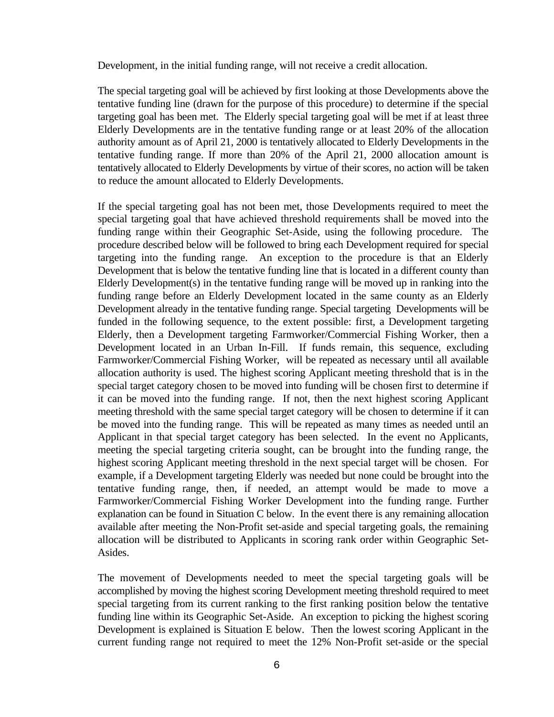Development, in the initial funding range, will not receive a credit allocation.

The special targeting goal will be achieved by first looking at those Developments above the tentative funding line (drawn for the purpose of this procedure) to determine if the special targeting goal has been met. The Elderly special targeting goal will be met if at least three Elderly Developments are in the tentative funding range or at least 20% of the allocation authority amount as of April 21, 2000 is tentatively allocated to Elderly Developments in the tentative funding range. If more than 20% of the April 21, 2000 allocation amount is tentatively allocated to Elderly Developments by virtue of their scores, no action will be taken to reduce the amount allocated to Elderly Developments.

If the special targeting goal has not been met, those Developments required to meet the special targeting goal that have achieved threshold requirements shall be moved into the funding range within their Geographic Set-Aside, using the following procedure. The procedure described below will be followed to bring each Development required for special targeting into the funding range. An exception to the procedure is that an Elderly Development that is below the tentative funding line that is located in a different county than Elderly Development(s) in the tentative funding range will be moved up in ranking into the funding range before an Elderly Development located in the same county as an Elderly Development already in the tentative funding range. Special targeting Developments will be funded in the following sequence, to the extent possible: first, a Development targeting Elderly, then a Development targeting Farmworker/Commercial Fishing Worker, then a Development located in an Urban In-Fill. If funds remain, this sequence, excluding Farmworker/Commercial Fishing Worker, will be repeated as necessary until all available allocation authority is used. The highest scoring Applicant meeting threshold that is in the special target category chosen to be moved into funding will be chosen first to determine if it can be moved into the funding range. If not, then the next highest scoring Applicant meeting threshold with the same special target category will be chosen to determine if it can be moved into the funding range. This will be repeated as many times as needed until an Applicant in that special target category has been selected. In the event no Applicants, meeting the special targeting criteria sought, can be brought into the funding range, the highest scoring Applicant meeting threshold in the next special target will be chosen. For example, if a Development targeting Elderly was needed but none could be brought into the tentative funding range, then, if needed, an attempt would be made to move a Farmworker/Commercial Fishing Worker Development into the funding range. Further explanation can be found in Situation C below. In the event there is any remaining allocation available after meeting the Non-Profit set-aside and special targeting goals, the remaining allocation will be distributed to Applicants in scoring rank order within Geographic Set-Asides.

The movement of Developments needed to meet the special targeting goals will be accomplished by moving the highest scoring Development meeting threshold required to meet special targeting from its current ranking to the first ranking position below the tentative funding line within its Geographic Set-Aside. An exception to picking the highest scoring Development is explained is Situation E below. Then the lowest scoring Applicant in the current funding range not required to meet the 12% Non-Profit set-aside or the special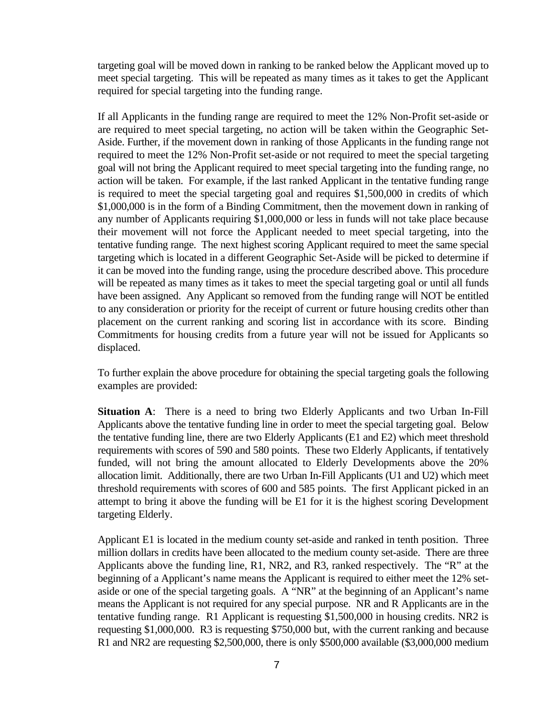targeting goal will be moved down in ranking to be ranked below the Applicant moved up to meet special targeting. This will be repeated as many times as it takes to get the Applicant required for special targeting into the funding range.

If all Applicants in the funding range are required to meet the 12% Non-Profit set-aside or are required to meet special targeting, no action will be taken within the Geographic Set-Aside. Further, if the movement down in ranking of those Applicants in the funding range not required to meet the 12% Non-Profit set-aside or not required to meet the special targeting goal will not bring the Applicant required to meet special targeting into the funding range, no action will be taken. For example, if the last ranked Applicant in the tentative funding range is required to meet the special targeting goal and requires \$1,500,000 in credits of which \$1,000,000 is in the form of a Binding Commitment, then the movement down in ranking of any number of Applicants requiring \$1,000,000 or less in funds will not take place because their movement will not force the Applicant needed to meet special targeting, into the tentative funding range. The next highest scoring Applicant required to meet the same special targeting which is located in a different Geographic Set-Aside will be picked to determine if it can be moved into the funding range, using the procedure described above. This procedure will be repeated as many times as it takes to meet the special targeting goal or until all funds have been assigned. Any Applicant so removed from the funding range will NOT be entitled to any consideration or priority for the receipt of current or future housing credits other than placement on the current ranking and scoring list in accordance with its score. Binding Commitments for housing credits from a future year will not be issued for Applicants so displaced.

To further explain the above procedure for obtaining the special targeting goals the following examples are provided:

**Situation A**: There is a need to bring two Elderly Applicants and two Urban In-Fill Applicants above the tentative funding line in order to meet the special targeting goal. Below the tentative funding line, there are two Elderly Applicants (E1 and E2) which meet threshold requirements with scores of 590 and 580 points. These two Elderly Applicants, if tentatively funded, will not bring the amount allocated to Elderly Developments above the 20% allocation limit. Additionally, there are two Urban In-Fill Applicants (U1 and U2) which meet threshold requirements with scores of 600 and 585 points. The first Applicant picked in an attempt to bring it above the funding will be E1 for it is the highest scoring Development targeting Elderly.

Applicant E1 is located in the medium county set-aside and ranked in tenth position. Three million dollars in credits have been allocated to the medium county set-aside. There are three Applicants above the funding line, R1, NR2, and R3, ranked respectively. The "R" at the beginning of a Applicant's name means the Applicant is required to either meet the 12% setaside or one of the special targeting goals. A "NR" at the beginning of an Applicant's name means the Applicant is not required for any special purpose. NR and R Applicants are in the tentative funding range. R1 Applicant is requesting \$1,500,000 in housing credits. NR2 is requesting \$1,000,000. R3 is requesting \$750,000 but, with the current ranking and because R1 and NR2 are requesting \$2,500,000, there is only \$500,000 available (\$3,000,000 medium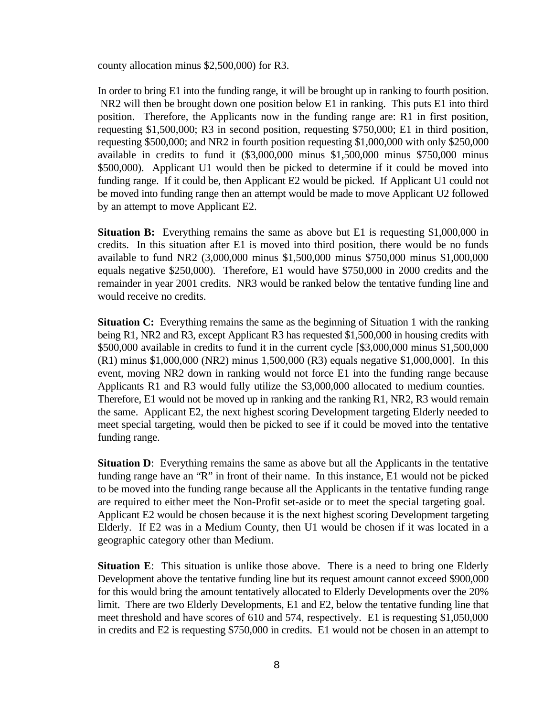county allocation minus \$2,500,000) for R3.

In order to bring E1 into the funding range, it will be brought up in ranking to fourth position. NR2 will then be brought down one position below E1 in ranking. This puts E1 into third position. Therefore, the Applicants now in the funding range are: R1 in first position, requesting \$1,500,000; R3 in second position, requesting \$750,000; E1 in third position, requesting \$500,000; and NR2 in fourth position requesting \$1,000,000 with only \$250,000 available in credits to fund it (\$3,000,000 minus \$1,500,000 minus \$750,000 minus \$500,000). Applicant U1 would then be picked to determine if it could be moved into funding range. If it could be, then Applicant E2 would be picked. If Applicant U1 could not be moved into funding range then an attempt would be made to move Applicant U2 followed by an attempt to move Applicant E2.

**Situation B:** Everything remains the same as above but E1 is requesting \$1,000,000 in credits. In this situation after E1 is moved into third position, there would be no funds available to fund NR2 (3,000,000 minus \$1,500,000 minus \$750,000 minus \$1,000,000 equals negative \$250,000). Therefore, E1 would have \$750,000 in 2000 credits and the remainder in year 2001 credits. NR3 would be ranked below the tentative funding line and would receive no credits.

**Situation C:** Everything remains the same as the beginning of Situation 1 with the ranking being R1, NR2 and R3, except Applicant R3 has requested \$1,500,000 in housing credits with \$500,000 available in credits to fund it in the current cycle [\$3,000,000 minus \$1,500,000 (R1) minus \$1,000,000 (NR2) minus 1,500,000 (R3) equals negative \$1,000,000]. In this event, moving NR2 down in ranking would not force E1 into the funding range because Applicants R1 and R3 would fully utilize the \$3,000,000 allocated to medium counties. Therefore, E1 would not be moved up in ranking and the ranking R1, NR2, R3 would remain the same. Applicant E2, the next highest scoring Development targeting Elderly needed to meet special targeting, would then be picked to see if it could be moved into the tentative funding range.

**Situation D**: Everything remains the same as above but all the Applicants in the tentative funding range have an "R" in front of their name. In this instance, E1 would not be picked to be moved into the funding range because all the Applicants in the tentative funding range are required to either meet the Non-Profit set-aside or to meet the special targeting goal. Applicant E2 would be chosen because it is the next highest scoring Development targeting Elderly. If E2 was in a Medium County, then U1 would be chosen if it was located in a geographic category other than Medium.

**Situation E**: This situation is unlike those above. There is a need to bring one Elderly Development above the tentative funding line but its request amount cannot exceed \$900,000 for this would bring the amount tentatively allocated to Elderly Developments over the 20% limit. There are two Elderly Developments, E1 and E2, below the tentative funding line that meet threshold and have scores of 610 and 574, respectively. E1 is requesting \$1,050,000 in credits and E2 is requesting \$750,000 in credits. E1 would not be chosen in an attempt to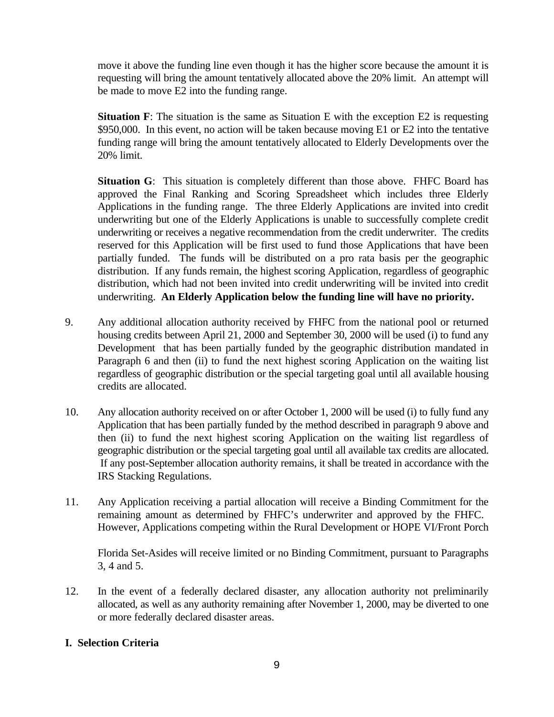move it above the funding line even though it has the higher score because the amount it is requesting will bring the amount tentatively allocated above the 20% limit. An attempt will be made to move E2 into the funding range.

**Situation F**: The situation is the same as Situation E with the exception E2 is requesting \$950,000. In this event, no action will be taken because moving E1 or E2 into the tentative funding range will bring the amount tentatively allocated to Elderly Developments over the 20% limit.

**Situation G**: This situation is completely different than those above. FHFC Board has approved the Final Ranking and Scoring Spreadsheet which includes three Elderly Applications in the funding range. The three Elderly Applications are invited into credit underwriting but one of the Elderly Applications is unable to successfully complete credit underwriting or receives a negative recommendation from the credit underwriter. The credits reserved for this Application will be first used to fund those Applications that have been partially funded. The funds will be distributed on a pro rata basis per the geographic distribution. If any funds remain, the highest scoring Application, regardless of geographic distribution, which had not been invited into credit underwriting will be invited into credit underwriting. **An Elderly Application below the funding line will have no priority.**

- 9. Any additional allocation authority received by FHFC from the national pool or returned housing credits between April 21, 2000 and September 30, 2000 will be used (i) to fund any Development that has been partially funded by the geographic distribution mandated in Paragraph 6 and then (ii) to fund the next highest scoring Application on the waiting list regardless of geographic distribution or the special targeting goal until all available housing credits are allocated.
- 10. Any allocation authority received on or after October 1, 2000 will be used (i) to fully fund any Application that has been partially funded by the method described in paragraph 9 above and then (ii) to fund the next highest scoring Application on the waiting list regardless of geographic distribution or the special targeting goal until all available tax credits are allocated. If any post-September allocation authority remains, it shall be treated in accordance with the IRS Stacking Regulations.
- 11. Any Application receiving a partial allocation will receive a Binding Commitment for the remaining amount as determined by FHFC's underwriter and approved by the FHFC. However, Applications competing within the Rural Development or HOPE VI/Front Porch

Florida Set-Asides will receive limited or no Binding Commitment, pursuant to Paragraphs 3, 4 and 5.

12. In the event of a federally declared disaster, any allocation authority not preliminarily allocated, as well as any authority remaining after November 1, 2000, may be diverted to one or more federally declared disaster areas.

## **I. Selection Criteria**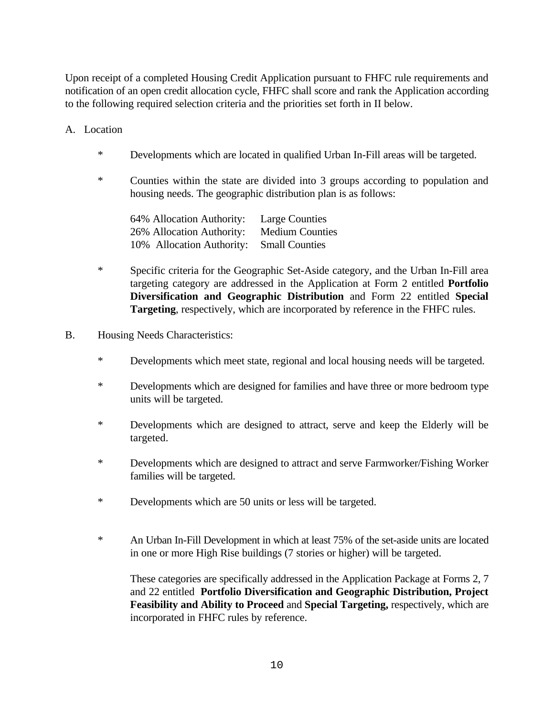Upon receipt of a completed Housing Credit Application pursuant to FHFC rule requirements and notification of an open credit allocation cycle, FHFC shall score and rank the Application according to the following required selection criteria and the priorities set forth in II below.

A. Location

- \* Developments which are located in qualified Urban In-Fill areas will be targeted.
- \* Counties within the state are divided into 3 groups according to population and housing needs. The geographic distribution plan is as follows:

| 64% Allocation Authority:                | <b>Large Counties</b>  |
|------------------------------------------|------------------------|
| 26% Allocation Authority:                | <b>Medium Counties</b> |
| 10% Allocation Authority: Small Counties |                        |

- \* Specific criteria for the Geographic Set-Aside category, and the Urban In-Fill area targeting category are addressed in the Application at Form 2 entitled **Portfolio Diversification and Geographic Distribution** and Form 22 entitled **Special Targeting**, respectively, which are incorporated by reference in the FHFC rules.
- B. Housing Needs Characteristics:
	- \* Developments which meet state, regional and local housing needs will be targeted.
	- \* Developments which are designed for families and have three or more bedroom type units will be targeted.
	- \* Developments which are designed to attract, serve and keep the Elderly will be targeted.
	- \* Developments which are designed to attract and serve Farmworker/Fishing Worker families will be targeted.
	- \* Developments which are 50 units or less will be targeted.
	- \* An Urban In-Fill Development in which at least 75% of the set-aside units are located in one or more High Rise buildings (7 stories or higher) will be targeted.

These categories are specifically addressed in the Application Package at Forms 2, 7 and 22 entitled **Portfolio Diversification and Geographic Distribution, Project Feasibility and Ability to Proceed** and **Special Targeting,** respectively, which are incorporated in FHFC rules by reference.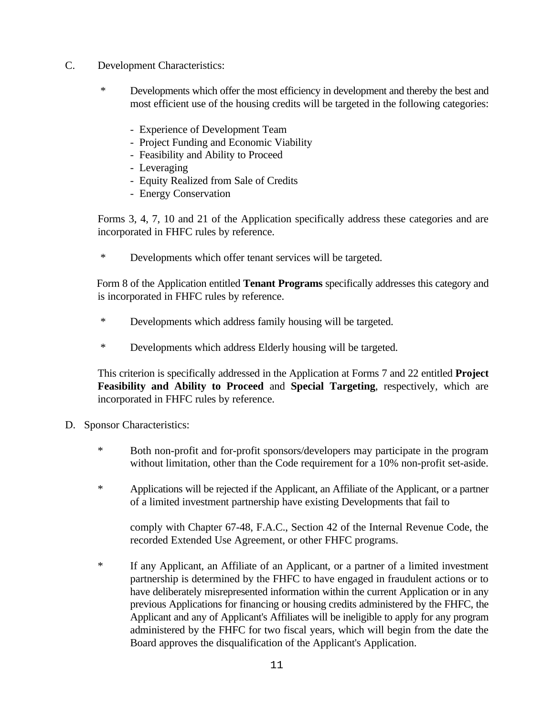- C. Development Characteristics:
	- \* Developments which offer the most efficiency in development and thereby the best and most efficient use of the housing credits will be targeted in the following categories:
		- Experience of Development Team
		- Project Funding and Economic Viability
		- Feasibility and Ability to Proceed
		- Leveraging
		- Equity Realized from Sale of Credits
		- Energy Conservation

 Forms 3, 4, 7, 10 and 21 of the Application specifically address these categories and are incorporated in FHFC rules by reference.

\* Developments which offer tenant services will be targeted.

 Form 8 of the Application entitled **Tenant Programs** specifically addresses this category and is incorporated in FHFC rules by reference.

- \* Developments which address family housing will be targeted.
- \* Developments which address Elderly housing will be targeted.

This criterion is specifically addressed in the Application at Forms 7 and 22 entitled **Project Feasibility and Ability to Proceed** and **Special Targeting**, respectively, which are incorporated in FHFC rules by reference.

- D. Sponsor Characteristics:
	- \* Both non-profit and for-profit sponsors/developers may participate in the program without limitation, other than the Code requirement for a 10% non-profit set-aside.
	- \* Applications will be rejected if the Applicant, an Affiliate of the Applicant, or a partner of a limited investment partnership have existing Developments that fail to

comply with Chapter 67-48, F.A.C., Section 42 of the Internal Revenue Code, the recorded Extended Use Agreement, or other FHFC programs.

\* If any Applicant, an Affiliate of an Applicant, or a partner of a limited investment partnership is determined by the FHFC to have engaged in fraudulent actions or to have deliberately misrepresented information within the current Application or in any previous Applications for financing or housing credits administered by the FHFC, the Applicant and any of Applicant's Affiliates will be ineligible to apply for any program administered by the FHFC for two fiscal years, which will begin from the date the Board approves the disqualification of the Applicant's Application.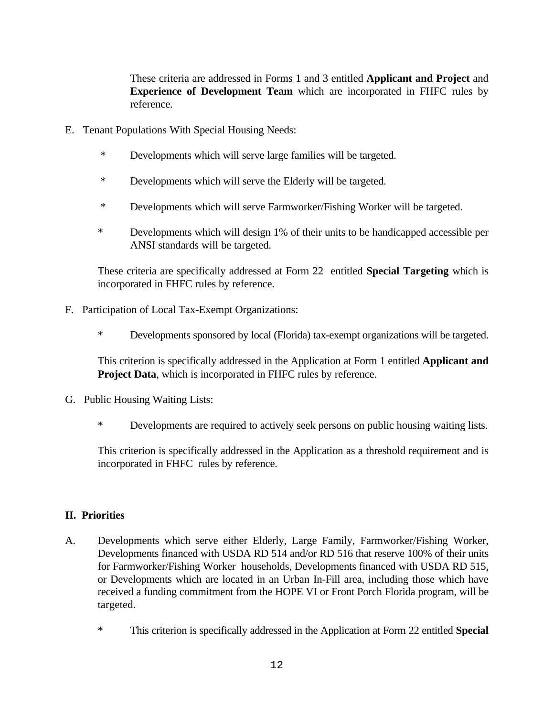These criteria are addressed in Forms 1 and 3 entitled **Applicant and Project** and **Experience of Development Team** which are incorporated in FHFC rules by reference.

- E. Tenant Populations With Special Housing Needs:
	- \* Developments which will serve large families will be targeted.
	- \* Developments which will serve the Elderly will be targeted.
	- \* Developments which will serve Farmworker/Fishing Worker will be targeted.
	- \* Developments which will design 1% of their units to be handicapped accessible per ANSI standards will be targeted.

These criteria are specifically addressed at Form 22 entitled **Special Targeting** which is incorporated in FHFC rules by reference.

- F. Participation of Local Tax-Exempt Organizations:
	- \* Developments sponsored by local (Florida) tax-exempt organizations will be targeted.

This criterion is specifically addressed in the Application at Form 1 entitled **Applicant and Project Data**, which is incorporated in FHFC rules by reference.

- G. Public Housing Waiting Lists:
	- \* Developments are required to actively seek persons on public housing waiting lists.

This criterion is specifically addressed in the Application as a threshold requirement and is incorporated in FHFC rules by reference.

## **II. Priorities**

- A. Developments which serve either Elderly, Large Family, Farmworker/Fishing Worker, Developments financed with USDA RD 514 and/or RD 516 that reserve 100% of their units for Farmworker/Fishing Worker households, Developments financed with USDA RD 515, or Developments which are located in an Urban In-Fill area, including those which have received a funding commitment from the HOPE VI or Front Porch Florida program, will be targeted.
	- \* This criterion is specifically addressed in the Application at Form 22 entitled **Special**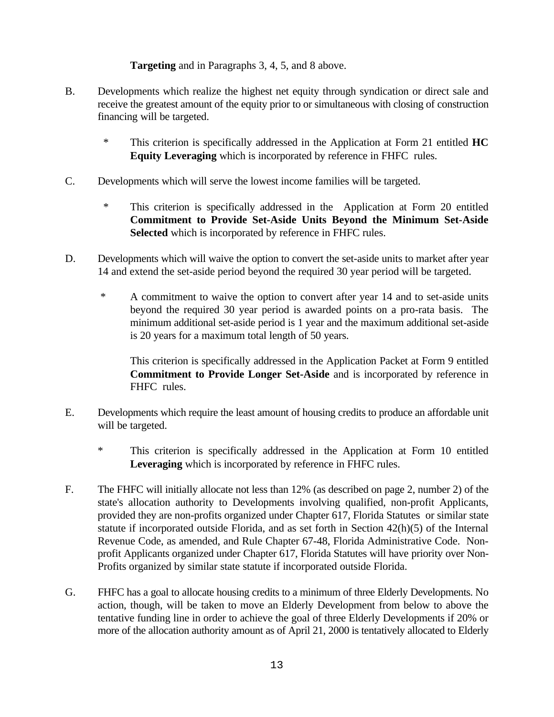### **Targeting** and in Paragraphs 3, 4, 5, and 8 above.

- B. Developments which realize the highest net equity through syndication or direct sale and receive the greatest amount of the equity prior to or simultaneous with closing of construction financing will be targeted.
	- \* This criterion is specifically addressed in the Application at Form 21 entitled **HC Equity Leveraging** which is incorporated by reference in FHFC rules.
- C. Developments which will serve the lowest income families will be targeted.
	- \* This criterion is specifically addressed in the Application at Form 20 entitled **Commitment to Provide Set-Aside Units Beyond the Minimum Set-Aside Selected** which is incorporated by reference in FHFC rules.
- D. Developments which will waive the option to convert the set-aside units to market after year 14 and extend the set-aside period beyond the required 30 year period will be targeted.
	- \* A commitment to waive the option to convert after year 14 and to set-aside units beyond the required 30 year period is awarded points on a pro-rata basis. The minimum additional set-aside period is 1 year and the maximum additional set-aside is 20 years for a maximum total length of 50 years.

This criterion is specifically addressed in the Application Packet at Form 9 entitled **Commitment to Provide Longer Set-Aside** and is incorporated by reference in FHFC rules.

- E. Developments which require the least amount of housing credits to produce an affordable unit will be targeted.
	- \* This criterion is specifically addressed in the Application at Form 10 entitled **Leveraging** which is incorporated by reference in FHFC rules.
- F. The FHFC will initially allocate not less than 12% (as described on page 2, number 2) of the state's allocation authority to Developments involving qualified, non-profit Applicants, provided they are non-profits organized under Chapter 617, Florida Statutes or similar state statute if incorporated outside Florida, and as set forth in Section 42(h)(5) of the Internal Revenue Code, as amended, and Rule Chapter 67-48, Florida Administrative Code. Nonprofit Applicants organized under Chapter 617, Florida Statutes will have priority over Non-Profits organized by similar state statute if incorporated outside Florida.
- G. FHFC has a goal to allocate housing credits to a minimum of three Elderly Developments. No action, though, will be taken to move an Elderly Development from below to above the tentative funding line in order to achieve the goal of three Elderly Developments if 20% or more of the allocation authority amount as of April 21, 2000 is tentatively allocated to Elderly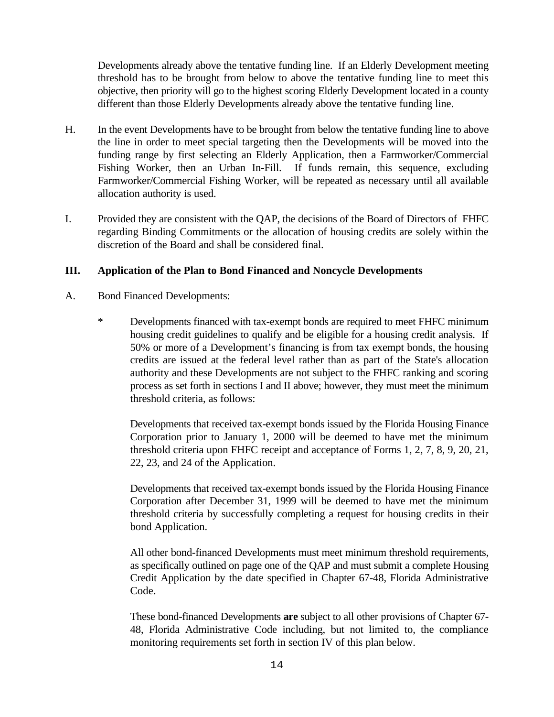Developments already above the tentative funding line. If an Elderly Development meeting threshold has to be brought from below to above the tentative funding line to meet this objective, then priority will go to the highest scoring Elderly Development located in a county different than those Elderly Developments already above the tentative funding line.

- H. In the event Developments have to be brought from below the tentative funding line to above the line in order to meet special targeting then the Developments will be moved into the funding range by first selecting an Elderly Application, then a Farmworker/Commercial Fishing Worker, then an Urban In-Fill. If funds remain, this sequence, excluding Farmworker/Commercial Fishing Worker, will be repeated as necessary until all available allocation authority is used.
- I. Provided they are consistent with the QAP, the decisions of the Board of Directors of FHFC regarding Binding Commitments or the allocation of housing credits are solely within the discretion of the Board and shall be considered final.

### **III. Application of the Plan to Bond Financed and Noncycle Developments**

- A. Bond Financed Developments:
	- \* Developments financed with tax-exempt bonds are required to meet FHFC minimum housing credit guidelines to qualify and be eligible for a housing credit analysis. If 50% or more of a Development's financing is from tax exempt bonds, the housing credits are issued at the federal level rather than as part of the State's allocation authority and these Developments are not subject to the FHFC ranking and scoring process as set forth in sections I and II above; however, they must meet the minimum threshold criteria, as follows:

Developments that received tax-exempt bonds issued by the Florida Housing Finance Corporation prior to January 1, 2000 will be deemed to have met the minimum threshold criteria upon FHFC receipt and acceptance of Forms 1, 2, 7, 8, 9, 20, 21, 22, 23, and 24 of the Application.

Developments that received tax-exempt bonds issued by the Florida Housing Finance Corporation after December 31, 1999 will be deemed to have met the minimum threshold criteria by successfully completing a request for housing credits in their bond Application.

All other bond-financed Developments must meet minimum threshold requirements, as specifically outlined on page one of the QAP and must submit a complete Housing Credit Application by the date specified in Chapter 67-48, Florida Administrative Code.

These bond-financed Developments **are** subject to all other provisions of Chapter 67- 48, Florida Administrative Code including, but not limited to, the compliance monitoring requirements set forth in section IV of this plan below.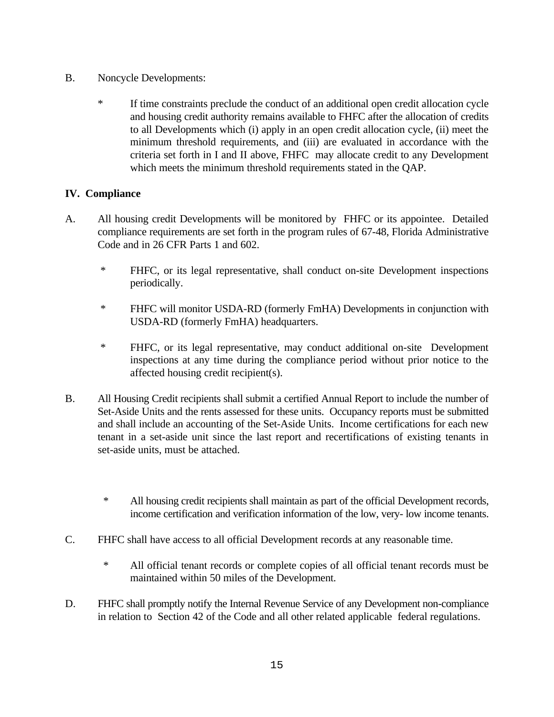- B. Noncycle Developments:
	- \* If time constraints preclude the conduct of an additional open credit allocation cycle and housing credit authority remains available to FHFC after the allocation of credits to all Developments which (i) apply in an open credit allocation cycle, (ii) meet the minimum threshold requirements, and (iii) are evaluated in accordance with the criteria set forth in I and II above, FHFC may allocate credit to any Development which meets the minimum threshold requirements stated in the QAP.

# **IV. Compliance**

- A. All housing credit Developments will be monitored by FHFC or its appointee. Detailed compliance requirements are set forth in the program rules of 67-48, Florida Administrative Code and in 26 CFR Parts 1 and 602.
	- \* FHFC, or its legal representative, shall conduct on-site Development inspections periodically.
	- \* FHFC will monitor USDA-RD (formerly FmHA) Developments in conjunction with USDA-RD (formerly FmHA) headquarters.
	- \* FHFC, or its legal representative, may conduct additional on-site Development inspections at any time during the compliance period without prior notice to the affected housing credit recipient(s).
- B. All Housing Credit recipients shall submit a certified Annual Report to include the number of Set-Aside Units and the rents assessed for these units. Occupancy reports must be submitted and shall include an accounting of the Set-Aside Units. Income certifications for each new tenant in a set-aside unit since the last report and recertifications of existing tenants in set-aside units, must be attached.
	- \* All housing credit recipients shall maintain as part of the official Development records, income certification and verification information of the low, very- low income tenants.
- C. FHFC shall have access to all official Development records at any reasonable time.
	- \* All official tenant records or complete copies of all official tenant records must be maintained within 50 miles of the Development.
- D. FHFC shall promptly notify the Internal Revenue Service of any Development non-compliance in relation to Section 42 of the Code and all other related applicable federal regulations.